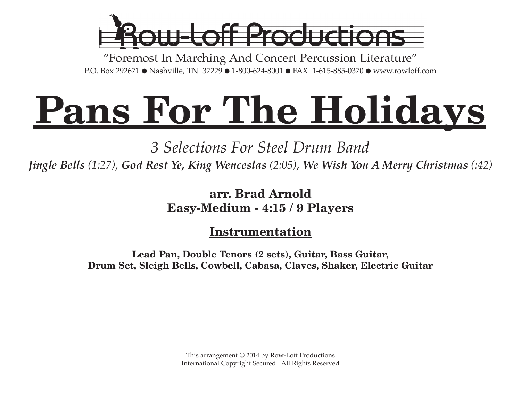

"Foremost In Marching And Concert Percussion Literature" P.O. Box 292671 ● Nashville, TN 37229 ● 1-800-624-8001 ● FAX 1-615-885-0370 ● www.rowloff.com

# **Pans For The Holidays**

*3 Selections For Steel Drum Band*

*Jingle Bells (1:27), God Rest Ye, King Wenceslas (2:05), We Wish You A Merry Christmas (:42)*

**arr. Brad Arnold Easy-Medium - 4:15 / 9 Players**

**Instrumentation**

**Lead Pan, Double Tenors (2 sets), Guitar, Bass Guitar, Drum Set, Sleigh Bells, Cowbell, Cabasa, Claves, Shaker, Electric Guitar**

> This arrangement © 2014 by Row-Loff Productions International Copyright Secured All Rights Reserved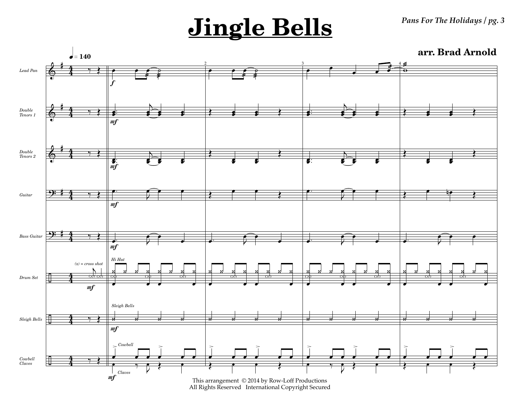*Pans For The Holidays / pg. 3*

## **Jingle Bells**

**arr. Brad Arnold**



All Rights Reserved International Copyright Secured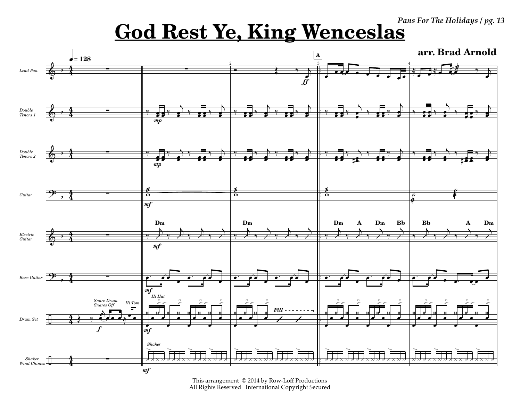Pans For The Holidays / pg. 13

### **God Rest Ye, King Wenceslas**



This arrangement © 2014 by Row-Loff Productions All Rights Reserved International Copyright Secured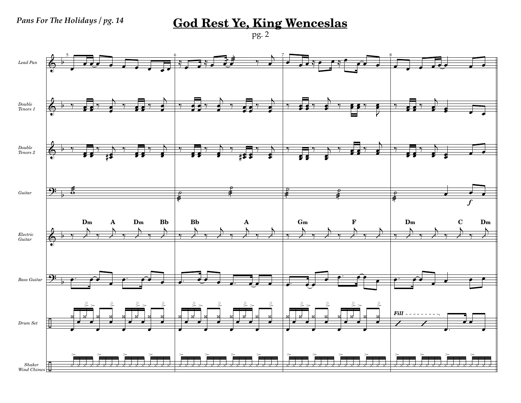**God Rest Ye, King Wenceslas** 

 $pg.2$ 

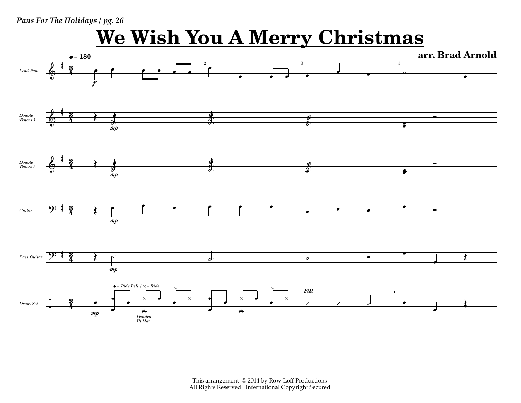#### *Pans For The Holidays / pg. 26*

### **We Wish You A Merry Christmas**